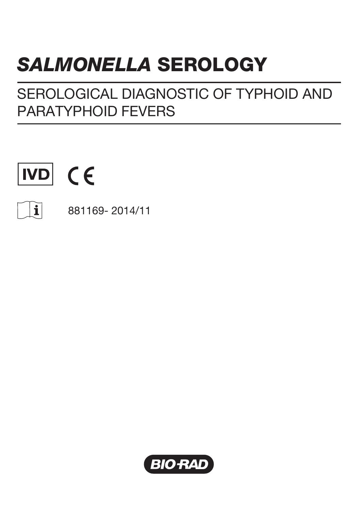# *SALMONELLA* SEROLOGY

SEROLOGICAL DIAGNOSTIC OF TYPHOID AND PARATYPHOID FEVERS





881169- 2014/11

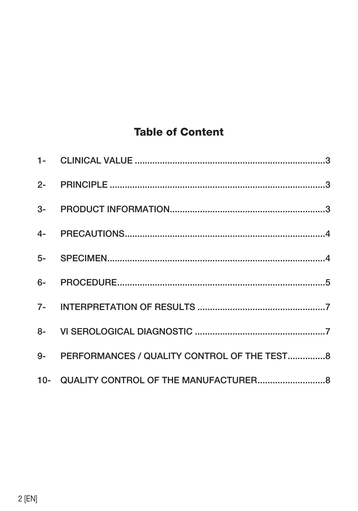# **Table of Content**

| 9- PERFORMANCES / QUALITY CONTROL OF THE TEST8 |  |
|------------------------------------------------|--|
|                                                |  |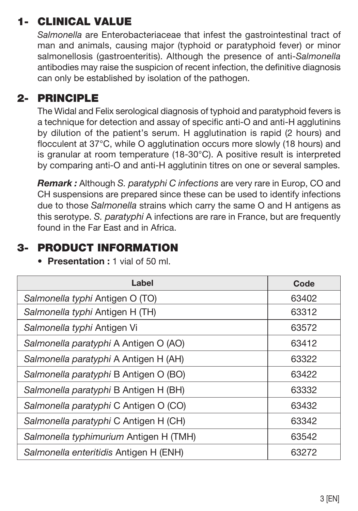# 1- CLINICAL VALUE

*Salmonella* are Enterobacteriaceae that infest the gastrointestinal tract of man and animals, causing major (typhoid or paratyphoid fever) or minor salmonellosis (gastroenteritis). Although the presence of anti-*Salmonella*  antibodies may raise the suspicion of recent infection, the definitive diagnosis can only be established by isolation of the pathogen.

#### 2- PRINCIPLE

The Widal and Felix serological diagnosis of typhoid and paratyphoid fevers is a technique for detection and assay of specific anti-O and anti-H agglutinins by dilution of the patient's serum. H agglutination is rapid (2 hours) and flocculent at 37°C, while O agglutination occurs more slowly (18 hours) and is granular at room temperature (18-30°C). A positive result is interpreted by comparing anti-O and anti-H agglutinin titres on one or several samples.

*Remark :* Although *S. paratyphi C infections* are very rare in Europ, CO and CH suspensions are prepared since these can be used to identify infections due to those *Salmonella* strains which carry the same O and H antigens as this serotype. *S. paratyphi* A infections are rare in France, but are frequently found in the Far East and in Africa.

## 3- PRODUCT INFORMATION

| Label                                  | Code  |  |  |  |
|----------------------------------------|-------|--|--|--|
| Salmonella typhi Antigen O (TO)        | 63402 |  |  |  |
| Salmonella typhi Antigen H (TH)        | 63312 |  |  |  |
| Salmonella typhi Antigen Vi            | 63572 |  |  |  |
| Salmonella paratyphi A Antigen O (AO)  | 63412 |  |  |  |
| Salmonella paratyphi A Antigen H (AH)  | 63322 |  |  |  |
| Salmonella paratyphi B Antigen O (BO)  | 63422 |  |  |  |
| Salmonella paratyphi B Antigen H (BH)  | 63332 |  |  |  |
| Salmonella paratyphi C Antigen O (CO)  | 63432 |  |  |  |
| Salmonella paratyphi C Antigen H (CH)  | 63342 |  |  |  |
| Salmonella typhimurium Antigen H (TMH) | 63542 |  |  |  |
| Salmonella enteritidis Antigen H (ENH) | 63272 |  |  |  |

• Presentation : 1 vial of 50 ml.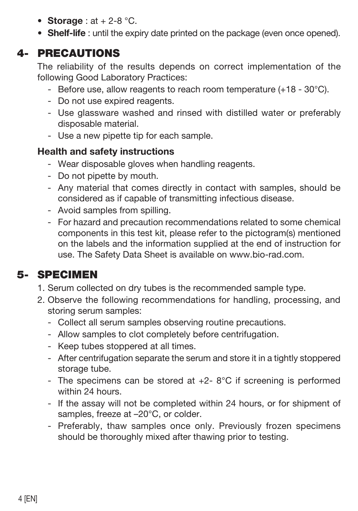- Storage:  $at + 2-8$  °C.
- Shelf-life : until the expiry date printed on the package (even once opened).

#### 4- PRECAUTIONS

The reliability of the results depends on correct implementation of the following Good Laboratory Practices:

- Before use, allow reagents to reach room temperature (+18 30°C).
- Do not use expired reagents.
- Use glassware washed and rinsed with distilled water or preferably disposable material.
- Use a new pipette tip for each sample.

#### **Health and safety instructions**

- Wear disposable gloves when handling reagents.
- Do not pipette by mouth.
- Any material that comes directly in contact with samples, should be considered as if capable of transmitting infectious disease.
- Avoid samples from spilling.
- For hazard and precaution recommendations related to some chemical components in this test kit, please refer to the pictogram(s) mentioned on the labels and the information supplied at the end of instruction for use. The Safety Data Sheet is available on www.bio-rad.com.

# 5- SPECIMEN

- 1. Serum collected on dry tubes is the recommended sample type.
- 2. Observe the following recommendations for handling, processing, and storing serum samples:
	- Collect all serum samples observing routine precautions.
	- Allow samples to clot completely before centrifugation.
	- Keep tubes stoppered at all times.
	- After centrifugation separate the serum and store it in a tightly stoppered storage tube.
	- The specimens can be stored at  $+2-8$ °C if screening is performed within 24 hours.
	- If the assay will not be completed within 24 hours, or for shipment of samples, freeze at  $-20^{\circ}$ C, or colder.
	- Preferably, thaw samples once only. Previously frozen specimens should be thoroughly mixed after thawing prior to testing.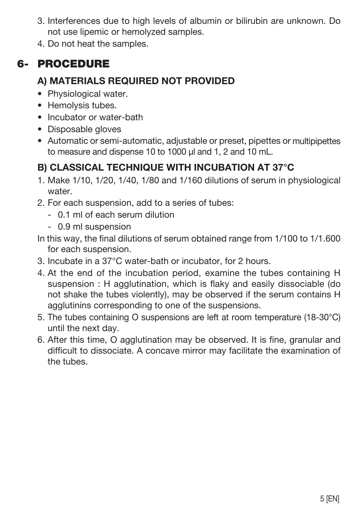- 3. Interferences due to high levels of albumin or bilirubin are unknown. Do not use lipemic or hemolyzed samples.
- 4. Do not heat the samples.

# 6- PROCEDURE

#### **A) MATERIALS REQUIRED NOT PROVIDED**

- Physiological water.
- Hemolysis tubes.
- Incubator or water-bath
- Disposable gloves
- Automatic or semi-automatic, adjustable or preset, pipettes or multipipettes to measure and dispense 10 to 1000 ul and 1, 2 and 10 mL.

## **B) CLASSICAL TECHNIQUE WITH INCUBATION AT 37°C**

- 1. Make 1/10, 1/20, 1/40, 1/80 and 1/160 dilutions of serum in physiological water.
- 2. For each suspension, add to a series of tubes:
	- 0.1 ml of each serum dilution
	- 0.9 ml suspension
- In this way, the final dilutions of serum obtained range from 1/100 to 1/1.600 for each suspension.
- 3. Incubate in a 37°C water-bath or incubator, for 2 hours.
- 4. At the end of the incubation period, examine the tubes containing H suspension : H agglutination, which is flaky and easily dissociable (do not shake the tubes violently), may be observed if the serum contains H agglutinins corresponding to one of the suspensions.
- 5. The tubes containing O suspensions are left at room temperature (18-30°C) until the next day.
- 6. After this time, O agglutination may be observed. It is fine, granular and difficult to dissociate. A concave mirror may facilitate the examination of the tubes.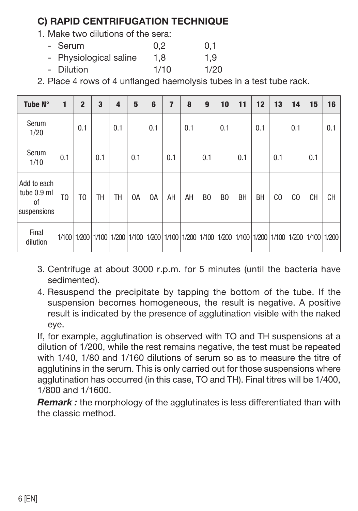## **C) RAPID CENTRIFUGATION TECHNIQUE**

- 1. Make two dilutions of the sera:
	- Serum 0.2 0.1 - Physiological saline 1,8 1,9 - Dilution 1/10 1/20

2. Place 4 rows of 4 unflanged haemolysis tubes in a test tube rack.

| Tube N°                                         | 1              | $\overline{2}$ | 3   | 4   | 5   | 6                                                                                                             | 7   | 8   | 9              | 10             | 11        | 12        | 13             | 14  | 15        | 16  |
|-------------------------------------------------|----------------|----------------|-----|-----|-----|---------------------------------------------------------------------------------------------------------------|-----|-----|----------------|----------------|-----------|-----------|----------------|-----|-----------|-----|
| Serum<br>1/20                                   |                | 0.1            |     | 0.1 |     | 0.1                                                                                                           |     | 0.1 |                | 0.1            |           | 0.1       |                | 0.1 |           | 0.1 |
| Serum<br>1/10                                   | 0.1            |                | 0.1 |     | 0.1 |                                                                                                               | 0.1 |     | 0.1            |                | 0.1       |           | 0.1            |     | 0.1       |     |
| Add to each<br>tube 0.9 ml<br>0f<br>suspensions | T <sub>0</sub> | T <sub>0</sub> | TH  | TH  | 0A  | 0A                                                                                                            | AH  | AH  | B <sub>0</sub> | B <sub>0</sub> | <b>BH</b> | <b>BH</b> | C <sub>0</sub> | CO  | <b>CH</b> | CH  |
| Final<br>dilution                               |                |                |     |     |     | 1/100 1/200 11/100 11/200 11/100 11/200 11/100 11/200 11/100 11/200 11/100 11/200 11/100 11/200 11/100 11/200 |     |     |                |                |           |           |                |     |           |     |

- 3. Centrifuge at about 3000 r.p.m. for 5 minutes (until the bacteria have sedimented).
- 4. Resuspend the precipitate by tapping the bottom of the tube. If the suspension becomes homogeneous, the result is negative. A positive result is indicated by the presence of agglutination visible with the naked eye.

If, for example, agglutination is observed with TO and TH suspensions at a dilution of 1/200, while the rest remains negative, the test must be repeated with 1/40, 1/80 and 1/160 dilutions of serum so as to measure the titre of agglutinins in the serum. This is only carried out for those suspensions where agglutination has occurred (in this case, TO and TH). Final titres will be 1/400, 1/800 and 1/1600.

*Remark :* the morphology of the agglutinates is less differentiated than with the classic method.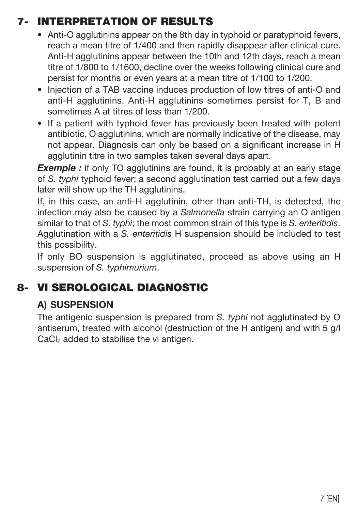# 7- INTERPRETATION OF RESULTS

- Anti-O agglutinins appear on the 8th day in typhoid or paratyphoid fevers, reach a mean titre of 1/400 and then rapidly disappear after clinical cure. Anti-H agglutinins appear between the 10th and 12th days, reach a mean titre of 1/800 to 1/1600, decline over the weeks following clinical cure and persist for months or even years at a mean titre of 1/100 to 1/200.
- Injection of a TAB vaccine induces production of low titres of anti-O and anti-H agglutinins. Anti-H agglutinins sometimes persist for T, B and sometimes A at titres of less than 1/200.
- If a patient with typhoid fever has previously been treated with potent antibiotic, O agglutinins, which are normally indicative of the disease, may not appear. Diagnosis can only be based on a significant increase in H agglutinin titre in two samples taken several days apart.

**Exemple :** if only TO agglutinins are found, it is probably at an early stage of *S. typhi* typhoid fever; a second agglutination test carried out a few days later will show up the TH agglutinins.

If, in this case, an anti-H agglutinin, other than anti-TH, is detected, the infection may also be caused by a *Salmonella* strain carrying an O antigen similar to that of *S. typhi*; the most common strain of this type is *S. enteritidis*. Agglutination with a *S. enteritidis* H suspension should be included to test this possibility.

If only BO suspension is agglutinated, proceed as above using an H suspension of *S. typhimurium*.

# 8- VI SEROLOGICAL DIAGNOSTIC

#### **A) SUSPENSION**

The antigenic suspension is prepared from *S. typhi* not agglutinated by O antiserum, treated with alcohol (destruction of the H antigen) and with 5 g/l  $CaCl<sub>2</sub>$  added to stabilise the vi antigen.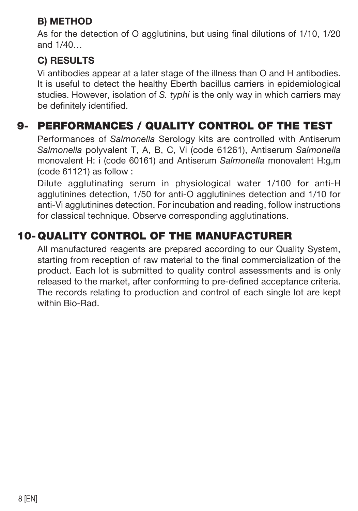#### **B) METHOD**

As for the detection of O agglutinins, but using final dilutions of 1/10, 1/20 and 1/40…

#### **C) RESULTS**

Vi antibodies appear at a later stage of the illness than O and H antibodies. It is useful to detect the healthy Eberth bacillus carriers in epidemiological studies. However, isolation of *S. typhi* is the only way in which carriers may be definitely identified.

# 9- PERFORMANCES / QUALITY CONTROL OF THE TEST

Performances of *Salmonella* Serology kits are controlled with Antiserum *Salmonella* polyvalent T, A, B, C, Vi (code 61261), Antiserum *Salmonella* monovalent H: i (code 60161) and Antiserum *Salmonella* monovalent H:g,m (code 61121) as follow :

Dilute agglutinating serum in physiological water 1/100 for anti-H agglutinines detection, 1/50 for anti-O agglutinines detection and 1/10 for anti-Vi agglutinines detection. For incubation and reading, follow instructions for classical technique. Observe corresponding agglutinations.

# 10-QUALITY CONTROL OF THE MANUFACTURER

All manufactured reagents are prepared according to our Quality System, starting from reception of raw material to the final commercialization of the product. Each lot is submitted to quality control assessments and is only released to the market, after conforming to pre-defined acceptance criteria. The records relating to production and control of each single lot are kept within Bio-Rad.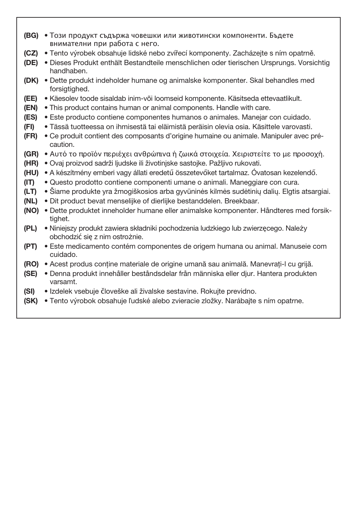- (BG) Този продукт съдържа човешки или животински компоненти. Бъдете внимателни при работа с него.
- (CZ) Tento výrobek obsahuje lidské nebo zvířecí komponenty. Zacházejte s ním opatrně.
- (DE) Dieses Produkt enthält Bestandteile menschlichen oder tierischen Ursprungs. Vorsichtig handhaben.
- (DK) Dette produkt indeholder humane og animalske komponenter. Skal behandles med forsigtighed.
- (EE) Käesolev toode sisaldab inim-või loomseid komponente. Käsitseda ettevaatlikult.
- (EN) This product contains human or animal components. Handle with care.
- (ES) Este producto contiene componentes humanos o animales. Manejar con cuidado.
- (FI) Tässä tuotteessa on ihmisestä tai eläimistä peräisin olevia osia. Käsittele varovasti.
- (FR) Ce produit contient des composants d'origine humaine ou animale. Manipuler avec précaution.
- (GR) Αυτό το προϊόν περιέχει ανθρώπινα ή ζωικά στοιχεία. Χειριστείτε το με προσοχή.
- (HR) Ovaj proizvod sadrži ljudske ili životinjske sastojke. Pažljivo rukovati.
- (HU) A készítmény emberi vagy állati eredetű összetevőket tartalmaz. Óvatosan kezelendő.
- (IT) Questo prodotto contiene componenti umane o animali. Maneggiare con cura.
- (LT) Šiame produkte yra žmogiškosios arba gyvūninės kilmės sudėtinių dalių. Elgtis atsargiai.
- (NL) Dit product bevat menselijke of dierlijke bestanddelen. Breekbaar.
- (NO) Dette produktet inneholder humane eller animalske komponenter. Håndteres med forsiktighet.
- (PL) Niniejszy produkt zawiera składniki pochodzenia ludzkiego lub zwierzęcego. Należy obchodzić się z nim ostrożnie.
- (PT) Este medicamento contém componentes de origem humana ou animal. Manuseie com cuidado.
- (RO) Acest produs conţine materiale de origine umană sau animală. Manevraţi-l cu grijă.
- (SE) Denna produkt innehåller beståndsdelar från människa eller djur. Hantera produkten varsamt.
- (SI) Izdelek vsebuje človeške ali živalske sestavine. Rokujte previdno.
- (SK) Tento výrobok obsahuje ľudské alebo zvieracie zložky. Narábajte s ním opatrne.